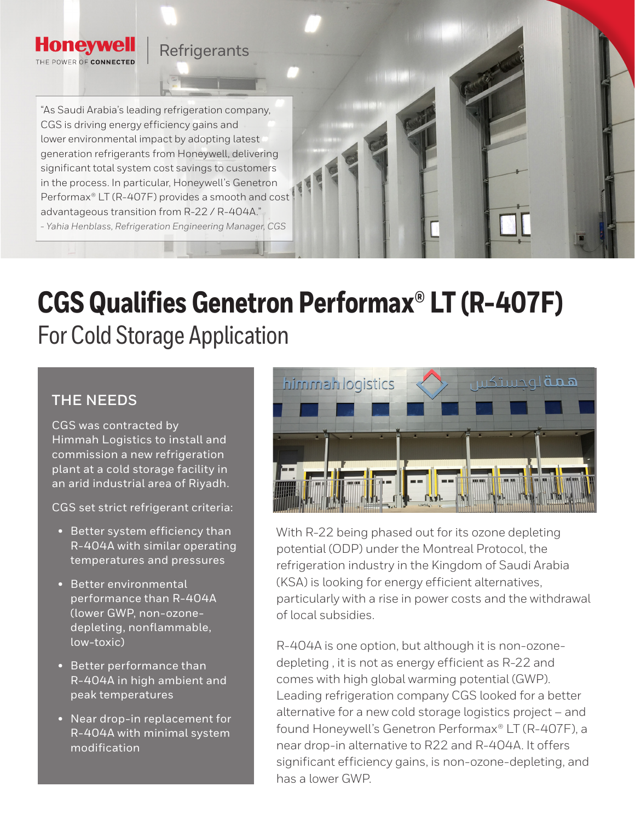## **Refrigerants**

"As Saudi Arabia's leading refrigeration company, CGS is driving energy efficiency gains and lower environmental impact by adopting latest generation refrigerants from Honeywell, delivering significant total system cost savings to customers in the process. In particular, Honeywell's Genetron Performax® LT (R-407F) provides a smooth and cost advantageous transition from R-22 / R-404A." *- Yahia Henblass, Refrigeration Engineering Manager, CGS*

# **CGS Qualifies Genetron Performax® LT (R-407F)**  For Cold Storage Application

## **THE NEEDS**

**Honevwell** THE POWER OF CONNECTED

> CGS was contracted by Himmah Logistics to install and commission a new refrigeration plant at a cold storage facility in an arid industrial area of Riyadh.

CGS set strict refrigerant criteria:

- Better system efficiency than R-404A with similar operating temperatures and pressures
- Better environmental performance than R-404A (lower GWP, non-ozonedepleting, nonflammable, low-toxic)
- Better performance than R-404A in high ambient and peak temperatures
- Near drop-in replacement for R-404A with minimal system modification



With R-22 being phased out for its ozone depleting potential (ODP) under the Montreal Protocol, the refrigeration industry in the Kingdom of Saudi Arabia (KSA) is looking for energy efficient alternatives, particularly with a rise in power costs and the withdrawal of local subsidies.

R-404A is one option, but although it is non-ozonedepleting , it is not as energy efficient as R-22 and comes with high global warming potential (GWP). Leading refrigeration company CGS looked for a better alternative for a new cold storage logistics project – and found Honeywell's Genetron Performax® LT (R-407F), a near drop-in alternative to R22 and R-404A. It offers significant efficiency gains, is non-ozone-depleting, and has a lower GWP.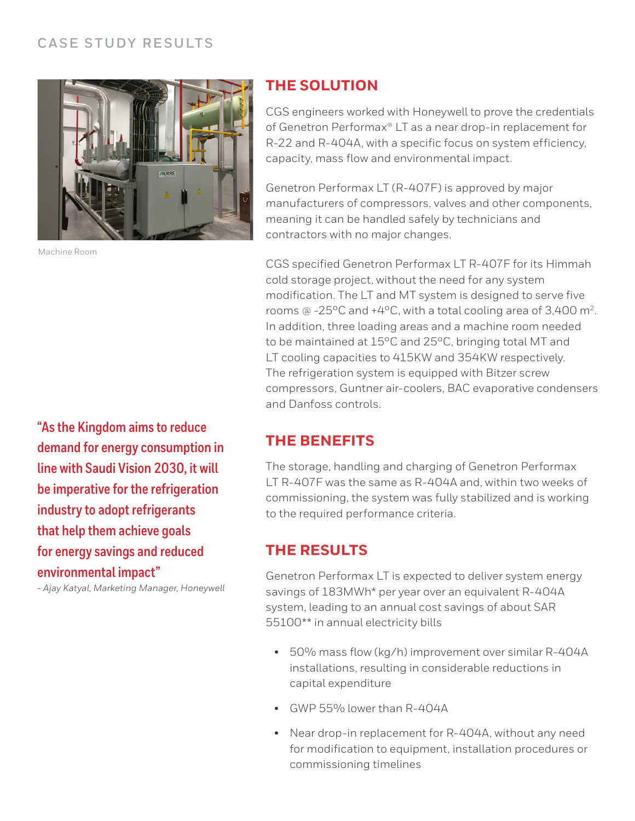### **CASE STUDY RESULTS**



Machine Room

#### **THE SOLUTION**

CGS engineers worked with Honeywell to prove the credentials of Genetron Performax® LT as a near drop-in replacement for R-22 and R-404A, with a specific focus on system efficiency, capacity, mass flow and environmental impact.

Genetron Performax LT (R-407F) is approved by major manufacturers of compressors, valves and other components, meaning it can be handled safely by technicians and contractors with no major changes.

CGS specified Genetron Performax LT R-407F for its Himmah cold storage project, without the need for any system modification. The LT and MT system is designed to serve five rooms @ -25°C and +4°C, with a total cooling area of 3,400 m2. In addition, three loading areas and a machine room needed to be maintained at 15°C and 25°C, bringing total MT and LT cooling capacities to 415KW and 354KW respectively. The refrigeration system is equipped with Bitzer screw compressors, Guntner air-coolers, BAC evaporative condensers and Danfoss controls.

### **THE BENEFITS**

The storage, handling and charging of Genetron Performax LT R-407F was the same as R-404A and, within two weeks of commissioning, the system was fully stabilized and is working to the required performance criteria.

### **THE RESULTS**

Genetron Performax LT is expected to deliver system energy savings of 183MWh\* per year over an equivalent R-404A system, leading to an annual cost savings of about SAR 55100\*\* in annual electricity bills

- 50% mass flow (kg/h) improvement over similar R-404A installations, resulting in considerable reductions in capital expenditure
- GWP 55% lower than R-404A
- Near drop-in replacement for R-404A, without any need for modification to equipment, installation procedures or commissioning timelines

**"As the Kingdom aims to reduce demand for energy consumption in line with Saudi Vision 2030, it will be imperative for the refrigeration industry to adopt refrigerants that help them achieve goals for energy savings and reduced environmental impact"**

*- Ajay Katyal, Marketing Manager, Honeywell*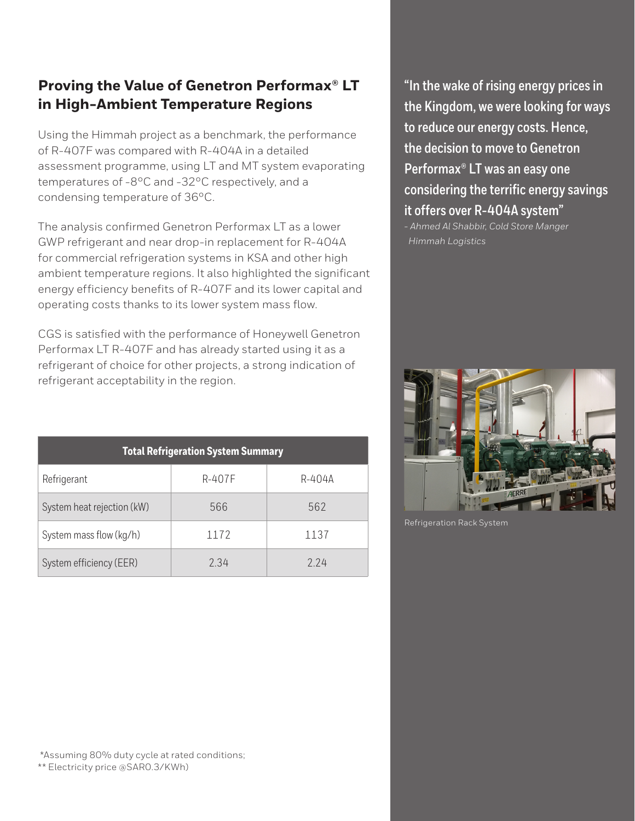## **Proving the Value of Genetron Performax® LT in High-Ambient Temperature Regions**

Using the Himmah project as a benchmark, the performance of R-407F was compared with R-404A in a detailed assessment programme, using LT and MT system evaporating temperatures of -8°C and -32°C respectively, and a condensing temperature of 36°C.

The analysis confirmed Genetron Performax LT as a lower GWP refrigerant and near drop-in replacement for R-404A for commercial refrigeration systems in KSA and other high ambient temperature regions. It also highlighted the significant energy efficiency benefits of R-407F and its lower capital and operating costs thanks to its lower system mass flow.

CGS is satisfied with the performance of Honeywell Genetron Performax LT R-407F and has already started using it as a refrigerant of choice for other projects, a strong indication of refrigerant acceptability in the region.

| <b>Total Refrigeration System Summary</b> |        |        |
|-------------------------------------------|--------|--------|
| Refrigerant                               | R-407F | R-404A |
| System heat rejection (kW)                | 566    | 562    |
| System mass flow (kg/h)                   | 1172   | 1137   |
| System efficiency (EER)                   | 2.34   | 224    |

**"In the wake of rising energy prices in the Kingdom, we were looking for ways to reduce our energy costs. Hence, the decision to move to Genetron Performax® LT was an easy one considering the terrific energy savings it offers over R-404A system"** 

*- Ahmed Al Shabbir, Cold Store Manger Himmah Logistics*



Refrigeration Rack System

 \*Assuming 80% duty cycle at rated conditions; \*\* Electricity price @SAR0.3/KWh)